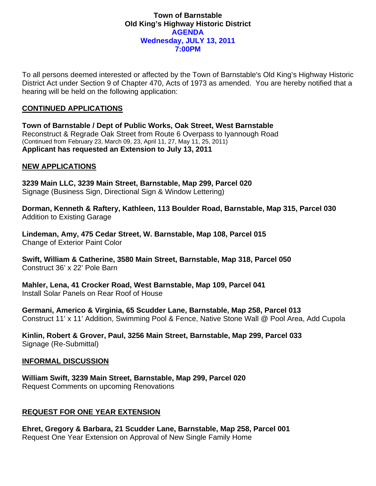#### **Town of Barnstable Old King's Highway Historic District AGENDA Wednesday, JULY 13, 2011 7:00PM**

To all persons deemed interested or affected by the Town of Barnstable's Old King's Highway Historic District Act under Section 9 of Chapter 470, Acts of 1973 as amended. You are hereby notified that a hearing will be held on the following application:

## **CONTINUED APPLICATIONS**

**Town of Barnstable / Dept of Public Works, Oak Street, West Barnstable**  Reconstruct & Regrade Oak Street from Route 6 Overpass to Iyannough Road (Continued from February 23, March 09, 23, April 11, 27, May 11, 25, 2011) **Applicant has requested an Extension to July 13, 2011** 

# **NEW APPLICATIONS**

**3239 Main LLC, 3239 Main Street, Barnstable, Map 299, Parcel 020**  Signage (Business Sign, Directional Sign & Window Lettering)

**Dorman, Kenneth & Raftery, Kathleen, 113 Boulder Road, Barnstable, Map 315, Parcel 030**  Addition to Existing Garage

**Lindeman, Amy, 475 Cedar Street, W. Barnstable, Map 108, Parcel 015**  Change of Exterior Paint Color

**Swift, William & Catherine, 3580 Main Street, Barnstable, Map 318, Parcel 050**  Construct 36' x 22' Pole Barn

**Mahler, Lena, 41 Crocker Road, West Barnstable, Map 109, Parcel 041**  Install Solar Panels on Rear Roof of House

**Germani, Americo & Virginia, 65 Scudder Lane, Barnstable, Map 258, Parcel 013**  Construct 11' x 11' Addition, Swimming Pool & Fence, Native Stone Wall @ Pool Area, Add Cupola

**Kinlin, Robert & Grover, Paul, 3256 Main Street, Barnstable, Map 299, Parcel 033**  Signage (Re-Submittal)

## **INFORMAL DISCUSSION**

**William Swift, 3239 Main Street, Barnstable, Map 299, Parcel 020**  Request Comments on upcoming Renovations

## **REQUEST FOR ONE YEAR EXTENSION**

**Ehret, Gregory & Barbara, 21 Scudder Lane, Barnstable, Map 258, Parcel 001**  Request One Year Extension on Approval of New Single Family Home